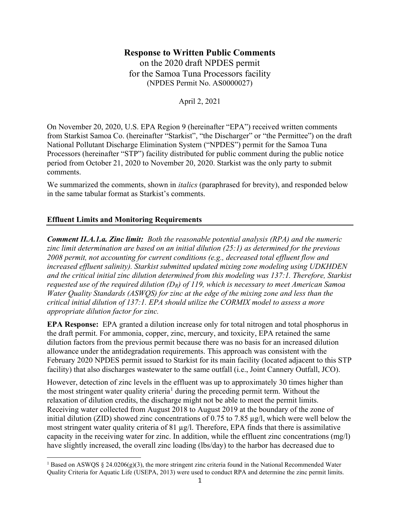# Response to Written Public Comments

on the 2020 draft NPDES permit for the Samoa Tuna Processors facility (NPDES Permit No. AS0000027)

April 2, 2021

On November 20, 2020, U.S. EPA Region 9 (hereinafter "EPA") received written comments from Starkist Samoa Co. (hereinafter "Starkist", "the Discharger" or "the Permittee") on the draft National Pollutant Discharge Elimination System ("NPDES") permit for the Samoa Tuna Processors (hereinafter "STP") facility distributed for public comment during the public notice period from October 21, 2020 to November 20, 2020. Starkist was the only party to submit comments.

We summarized the comments, shown in *italics* (paraphrased for brevity), and responded below in the same tabular format as Starkist's comments.

## Effluent Limits and Monitoring Requirements

**Comment II.A.1.a. Zinc limit:** Both the reasonable potential analysis (RPA) and the numeric zinc limit determination are based on an initial dilution  $(25:1)$  as determined for the previous 2008 permit, not accounting for current conditions (e.g., decreased total effluent flow and increased effluent salinity). Starkist submitted updated mixing zone modeling using UDKHDEN and the critical initial zinc dilution determined from this modeling was 137:1. Therefore, Starkist requested use of the required dilution  $(D_R)$  of 119, which is necessary to meet American Samoa Water Quality Standards (ASWQS) for zinc at the edge of the mixing zone and less than the critical initial dilution of 137:1. EPA should utilize the CORMIX model to assess a more appropriate dilution factor for zinc.

EPA Response: EPA granted a dilution increase only for total nitrogen and total phosphorus in the draft permit. For ammonia, copper, zinc, mercury, and toxicity, EPA retained the same dilution factors from the previous permit because there was no basis for an increased dilution allowance under the antidegradation requirements. This approach was consistent with the February 2020 NPDES permit issued to Starkist for its main facility (located adjacent to this STP facility) that also discharges wastewater to the same outfall (i.e., Joint Cannery Outfall, JCO).

However, detection of zinc levels in the effluent was up to approximately 30 times higher than the most stringent water quality criteria<sup>1</sup> during the preceding permit term. Without the relaxation of dilution credits, the discharge might not be able to meet the permit limits. Receiving water collected from August 2018 to August 2019 at the boundary of the zone of initial dilution (ZID) showed zinc concentrations of 0.75 to 7.85 µg/l, which were well below the most stringent water quality criteria of 81 µg/l. Therefore, EPA finds that there is assimilative capacity in the receiving water for zinc. In addition, while the effluent zinc concentrations (mg/l) have slightly increased, the overall zinc loading (lbs/day) to the harbor has decreased due to

<sup>&</sup>lt;sup>1</sup> Based on ASWQS § 24.0206(g)(3), the more stringent zinc criteria found in the National Recommended Water Quality Criteria for Aquatic Life (USEPA, 2013) were used to conduct RPA and determine the zinc permit limits.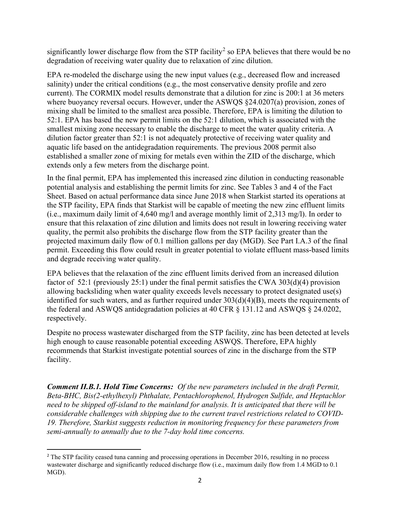significantly lower discharge flow from the STP facility<sup>2</sup> so EPA believes that there would be no degradation of receiving water quality due to relaxation of zinc dilution.

EPA re-modeled the discharge using the new input values (e.g., decreased flow and increased salinity) under the critical conditions (e.g., the most conservative density profile and zero current). The CORMIX model results demonstrate that a dilution for zinc is 200:1 at 36 meters where buoyancy reversal occurs. However, under the ASWQS §24.0207(a) provision, zones of mixing shall be limited to the smallest area possible. Therefore, EPA is limiting the dilution to 52:1. EPA has based the new permit limits on the 52:1 dilution, which is associated with the smallest mixing zone necessary to enable the discharge to meet the water quality criteria. A dilution factor greater than 52:1 is not adequately protective of receiving water quality and aquatic life based on the antidegradation requirements. The previous 2008 permit also established a smaller zone of mixing for metals even within the ZID of the discharge, which extends only a few meters from the discharge point.

In the final permit, EPA has implemented this increased zinc dilution in conducting reasonable potential analysis and establishing the permit limits for zinc. See Tables 3 and 4 of the Fact Sheet. Based on actual performance data since June 2018 when Starkist started its operations at the STP facility, EPA finds that Starkist will be capable of meeting the new zinc effluent limits (i.e., maximum daily limit of 4,640 mg/l and average monthly limit of 2,313 mg/l). In order to ensure that this relaxation of zinc dilution and limits does not result in lowering receiving water quality, the permit also prohibits the discharge flow from the STP facility greater than the projected maximum daily flow of 0.1 million gallons per day (MGD). See Part I.A.3 of the final permit. Exceeding this flow could result in greater potential to violate effluent mass-based limits and degrade receiving water quality.

EPA believes that the relaxation of the zinc effluent limits derived from an increased dilution factor of 52:1 (previously 25:1) under the final permit satisfies the CWA 303(d)(4) provision allowing backsliding when water quality exceeds levels necessary to protect designated use(s) identified for such waters, and as further required under 303(d)(4)(B), meets the requirements of the federal and ASWQS antidegradation policies at 40 CFR § 131.12 and ASWQS § 24.0202, respectively.

Despite no process wastewater discharged from the STP facility, zinc has been detected at levels high enough to cause reasonable potential exceeding ASWQS. Therefore, EPA highly recommends that Starkist investigate potential sources of zinc in the discharge from the STP facility.

Comment II.B.1. Hold Time Concerns: Of the new parameters included in the draft Permit, Beta-BHC, Bis(2-ethylhexyl) Phthalate, Pentachlorophenol, Hydrogen Sulfide, and Heptachlor need to be shipped off-island to the mainland for analysis. It is anticipated that there will be considerable challenges with shipping due to the current travel restrictions related to COVID-19. Therefore, Starkist suggests reduction in monitoring frequency for these parameters from semi-annually to annually due to the 7-day hold time concerns.

<sup>&</sup>lt;sup>2</sup> The STP facility ceased tuna canning and processing operations in December 2016, resulting in no process wastewater discharge and significantly reduced discharge flow (i.e., maximum daily flow from 1.4 MGD to 0.1 MGD).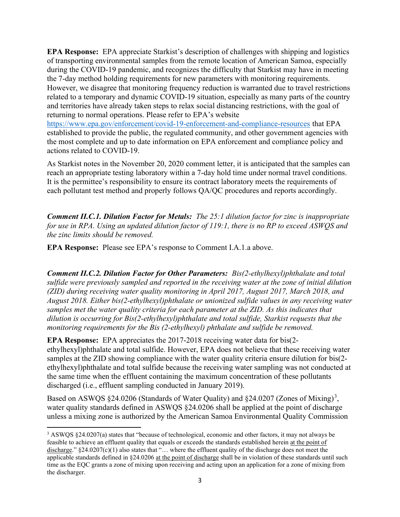EPA Response: EPA appreciate Starkist's description of challenges with shipping and logistics of transporting environmental samples from the remote location of American Samoa, especially during the COVID-19 pandemic, and recognizes the difficulty that Starkist may have in meeting the 7-day method holding requirements for new parameters with monitoring requirements. However, we disagree that monitoring frequency reduction is warranted due to travel restrictions related to a temporary and dynamic COVID-19 situation, especially as many parts of the country and territories have already taken steps to relax social distancing restrictions, with the goal of returning to normal operations. Please refer to EPA's website

https://www.epa.gov/enforcement/covid-19-enforcement-and-compliance-resources that EPA established to provide the public, the regulated community, and other government agencies with the most complete and up to date information on EPA enforcement and compliance policy and actions related to COVID-19.

As Starkist notes in the November 20, 2020 comment letter, it is anticipated that the samples can reach an appropriate testing laboratory within a 7-day hold time under normal travel conditions. It is the permittee's responsibility to ensure its contract laboratory meets the requirements of each pollutant test method and properly follows QA/QC procedures and reports accordingly.

Comment II.C.1. Dilution Factor for Metals: The 25:1 dilution factor for zinc is inappropriate for use in RPA. Using an updated dilution factor of 119:1, there is no RP to exceed ASWQS and the zinc limits should be removed.

EPA Response: Please see EPA's response to Comment I.A.1.a above.

Comment II.C.2. Dilution Factor for Other Parameters: Bis(2-ethylhexyl)phthalate and total sulfide were previously sampled and reported in the receiving water at the zone of initial dilution (ZID) during receiving water quality monitoring in April 2017, August 2017, March 2018, and August 2018. Either bis(2-ethylhexyl)phthalate or unionized sulfide values in any receiving water samples met the water quality criteria for each parameter at the ZID. As this indicates that dilution is occurring for Bis(2-ethylhexyl)phthalate and total sulfide, Starkist requests that the monitoring requirements for the Bis (2-ethylhexyl) phthalate and sulfide be removed.

EPA Response: EPA appreciates the 2017-2018 receiving water data for bis(2 ethylhexyl)phthalate and total sulfide. However, EPA does not believe that these receiving water samples at the ZID showing compliance with the water quality criteria ensure dilution for bis(2 ethylhexyl)phthalate and total sulfide because the receiving water sampling was not conducted at the same time when the effluent containing the maximum concentration of these pollutants discharged (i.e., effluent sampling conducted in January 2019).

Based on ASWQS  $\S 24.0206$  (Standards of Water Quality) and  $\S 24.0207$  (Zones of Mixing)<sup>3</sup>, water quality standards defined in ASWQS §24.0206 shall be applied at the point of discharge unless a mixing zone is authorized by the American Samoa Environmental Quality Commission

<sup>&</sup>lt;sup>3</sup> ASWQS §24.0207(a) states that "because of technological, economic and other factors, it may not always be feasible to achieve an effluent quality that equals or exceeds the standards established herein at the point of discharge." §24.0207(c)(1) also states that "… where the effluent quality of the discharge does not meet the applicable standards defined in §24.0206 at the point of discharge shall be in violation of these standards until such time as the EQC grants a zone of mixing upon receiving and acting upon an application for a zone of mixing from the discharger.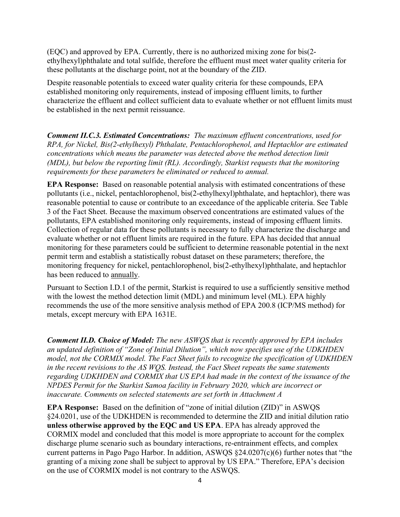(EQC) and approved by EPA. Currently, there is no authorized mixing zone for bis(2 ethylhexyl)phthalate and total sulfide, therefore the effluent must meet water quality criteria for these pollutants at the discharge point, not at the boundary of the ZID.

Despite reasonable potentials to exceed water quality criteria for these compounds, EPA established monitoring only requirements, instead of imposing effluent limits, to further characterize the effluent and collect sufficient data to evaluate whether or not effluent limits must be established in the next permit reissuance.

Comment II.C.3. Estimated Concentrations: The maximum effluent concentrations, used for RPA, for Nickel, Bis(2-ethylhexyl) Phthalate, Pentachlorophenol, and Heptachlor are estimated concentrations which means the parameter was detected above the method detection limit (MDL), but below the reporting limit (RL). Accordingly, Starkist requests that the monitoring requirements for these parameters be eliminated or reduced to annual.

EPA Response: Based on reasonable potential analysis with estimated concentrations of these pollutants (i.e., nickel, pentachlorophenol, bis(2-ethylhexyl)phthalate, and heptachlor), there was reasonable potential to cause or contribute to an exceedance of the applicable criteria. See Table 3 of the Fact Sheet. Because the maximum observed concentrations are estimated values of the pollutants, EPA established monitoring only requirements, instead of imposing effluent limits. Collection of regular data for these pollutants is necessary to fully characterize the discharge and evaluate whether or not effluent limits are required in the future. EPA has decided that annual monitoring for these parameters could be sufficient to determine reasonable potential in the next permit term and establish a statistically robust dataset on these parameters; therefore, the monitoring frequency for nickel, pentachlorophenol, bis(2-ethylhexyl)phthalate, and heptachlor has been reduced to annually.

Pursuant to Section I.D.1 of the permit, Starkist is required to use a sufficiently sensitive method with the lowest the method detection limit (MDL) and minimum level (ML). EPA highly recommends the use of the more sensitive analysis method of EPA 200.8 (ICP/MS method) for metals, except mercury with EPA 1631E.

Comment II.D. Choice of Model: The new ASWQS that is recently approved by EPA includes an updated definition of "Zone of Initial Dilution", which now specifies use of the UDKHDEN model, not the CORMIX model. The Fact Sheet fails to recognize the specification of UDKHDEN in the recent revisions to the AS WQS. Instead, the Fact Sheet repeats the same statements regarding UDKHDEN and CORMIX that US EPA had made in the context of the issuance of the NPDES Permit for the Starkist Samoa facility in February 2020, which are incorrect or inaccurate. Comments on selected statements are set forth in Attachment A

EPA Response: Based on the definition of "zone of initial dilution (ZID)" in ASWQS §24.0201, use of the UDKHDEN is recommended to determine the ZID and initial dilution ratio unless otherwise approved by the EQC and US EPA. EPA has already approved the CORMIX model and concluded that this model is more appropriate to account for the complex discharge plume scenario such as boundary interactions, re-entrainment effects, and complex current patterns in Pago Pago Harbor. In addition, ASWQS §24.0207(c)(6) further notes that "the granting of a mixing zone shall be subject to approval by US EPA." Therefore, EPA's decision on the use of CORMIX model is not contrary to the ASWQS.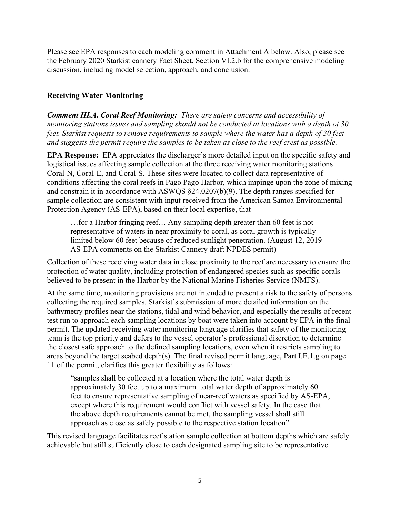Please see EPA responses to each modeling comment in Attachment A below. Also, please see the February 2020 Starkist cannery Fact Sheet, Section VI.2.b for the comprehensive modeling discussion, including model selection, approach, and conclusion.

### Receiving Water Monitoring

Comment III.A. Coral Reef Monitoring: There are safety concerns and accessibility of monitoring stations issues and sampling should not be conducted at locations with a depth of 30 feet. Starkist requests to remove requirements to sample where the water has a depth of 30 feet and suggests the permit require the samples to be taken as close to the reef crest as possible.

EPA Response: EPA appreciates the discharger's more detailed input on the specific safety and logistical issues affecting sample collection at the three receiving water monitoring stations Coral-N, Coral-E, and Coral-S. These sites were located to collect data representative of conditions affecting the coral reefs in Pago Pago Harbor, which impinge upon the zone of mixing and constrain it in accordance with ASWQS §24.0207(b)(9). The depth ranges specified for sample collection are consistent with input received from the American Samoa Environmental Protection Agency (AS-EPA), based on their local expertise, that

…for a Harbor fringing reef… Any sampling depth greater than 60 feet is not representative of waters in near proximity to coral, as coral growth is typically limited below 60 feet because of reduced sunlight penetration. (August 12, 2019 AS-EPA comments on the Starkist Cannery draft NPDES permit)

Collection of these receiving water data in close proximity to the reef are necessary to ensure the protection of water quality, including protection of endangered species such as specific corals believed to be present in the Harbor by the National Marine Fisheries Service (NMFS).

At the same time, monitoring provisions are not intended to present a risk to the safety of persons collecting the required samples. Starkist's submission of more detailed information on the bathymetry profiles near the stations, tidal and wind behavior, and especially the results of recent test run to approach each sampling locations by boat were taken into account by EPA in the final permit. The updated receiving water monitoring language clarifies that safety of the monitoring team is the top priority and defers to the vessel operator's professional discretion to determine the closest safe approach to the defined sampling locations, even when it restricts sampling to areas beyond the target seabed depth(s). The final revised permit language, Part I.E.1.g on page 11 of the permit, clarifies this greater flexibility as follows:

"samples shall be collected at a location where the total water depth is approximately 30 feet up to a maximum total water depth of approximately 60 feet to ensure representative sampling of near-reef waters as specified by AS-EPA, except where this requirement would conflict with vessel safety. In the case that the above depth requirements cannot be met, the sampling vessel shall still approach as close as safely possible to the respective station location"

This revised language facilitates reef station sample collection at bottom depths which are safely achievable but still sufficiently close to each designated sampling site to be representative.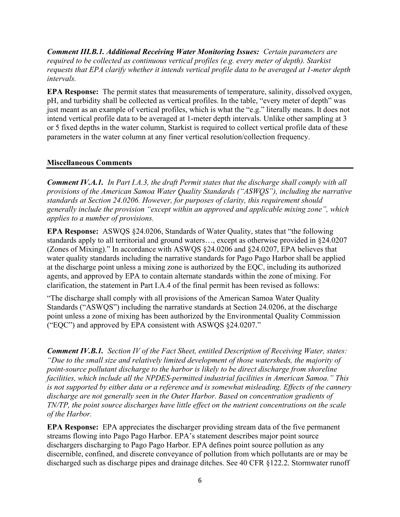Comment III.B.1. Additional Receiving Water Monitoring Issues: Certain parameters are required to be collected as continuous vertical profiles (e.g. every meter of depth). Starkist requests that EPA clarify whether it intends vertical profile data to be averaged at 1-meter depth intervals.

EPA Response: The permit states that measurements of temperature, salinity, dissolved oxygen, pH, and turbidity shall be collected as vertical profiles. In the table, "every meter of depth" was just meant as an example of vertical profiles, which is what the "e.g." literally means. It does not intend vertical profile data to be averaged at 1-meter depth intervals. Unlike other sampling at 3 or 5 fixed depths in the water column, Starkist is required to collect vertical profile data of these parameters in the water column at any finer vertical resolution/collection frequency.

#### Miscellaneous Comments

Comment IV.A.1. In Part I.A.3, the draft Permit states that the discharge shall comply with all provisions of the American Samoa Water Quality Standards ("ASWQS"), including the narrative standards at Section 24.0206. However, for purposes of clarity, this requirement should generally include the provision "except within an approved and applicable mixing zone", which applies to a number of provisions.

EPA Response: ASWQS §24.0206, Standards of Water Quality, states that "the following standards apply to all territorial and ground waters…, except as otherwise provided in §24.0207 (Zones of Mixing)." In accordance with ASWQS §24.0206 and §24.0207, EPA believes that water quality standards including the narrative standards for Pago Pago Harbor shall be applied at the discharge point unless a mixing zone is authorized by the EQC, including its authorized agents, and approved by EPA to contain alternate standards within the zone of mixing. For clarification, the statement in Part I.A.4 of the final permit has been revised as follows:

"The discharge shall comply with all provisions of the American Samoa Water Quality Standards ("ASWQS") including the narrative standards at Section 24.0206, at the discharge point unless a zone of mixing has been authorized by the Environmental Quality Commission ("EQC") and approved by EPA consistent with ASWQS §24.0207."

**Comment IV.B.1.** Section IV of the Fact Sheet, entitled Description of Receiving Water, states: "Due to the small size and relatively limited development of those watersheds, the majority of point-source pollutant discharge to the harbor is likely to be direct discharge from shoreline facilities, which include all the NPDES-permitted industrial facilities in American Samoa." This is not supported by either data or a reference and is somewhat misleading. Effects of the cannery discharge are not generally seen in the Outer Harbor. Based on concentration gradients of TN/TP, the point source discharges have little effect on the nutrient concentrations on the scale of the Harbor.

EPA Response: EPA appreciates the discharger providing stream data of the five permanent streams flowing into Pago Pago Harbor. EPA's statement describes major point source dischargers discharging to Pago Pago Harbor. EPA defines point source pollution as any discernible, confined, and discrete conveyance of pollution from which pollutants are or may be discharged such as discharge pipes and drainage ditches. See 40 CFR §122.2. Stormwater runoff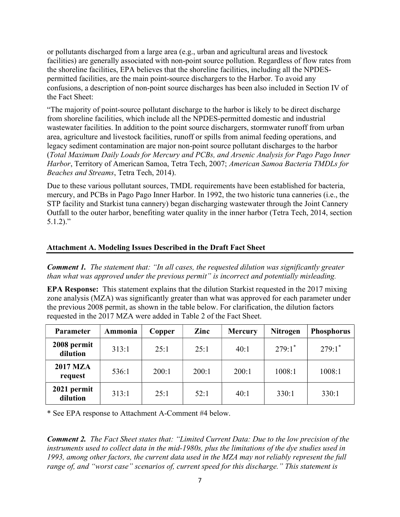or pollutants discharged from a large area (e.g., urban and agricultural areas and livestock facilities) are generally associated with non-point source pollution. Regardless of flow rates from the shoreline facilities, EPA believes that the shoreline facilities, including all the NPDESpermitted facilities, are the main point-source dischargers to the Harbor. To avoid any confusions, a description of non-point source discharges has been also included in Section IV of the Fact Sheet:

"The majority of point-source pollutant discharge to the harbor is likely to be direct discharge from shoreline facilities, which include all the NPDES-permitted domestic and industrial wastewater facilities. In addition to the point source dischargers, stormwater runoff from urban area, agriculture and livestock facilities, runoff or spills from animal feeding operations, and legacy sediment contamination are major non-point source pollutant discharges to the harbor (Total Maximum Daily Loads for Mercury and PCBs, and Arsenic Analysis for Pago Pago Inner Harbor, Territory of American Samoa, Tetra Tech, 2007; American Samoa Bacteria TMDLs for Beaches and Streams, Tetra Tech, 2014).

Due to these various pollutant sources, TMDL requirements have been established for bacteria, mercury, and PCBs in Pago Pago Inner Harbor. In 1992, the two historic tuna canneries (i.e., the STP facility and Starkist tuna cannery) began discharging wastewater through the Joint Cannery Outfall to the outer harbor, benefiting water quality in the inner harbor (Tetra Tech, 2014, section 5.1.2)."

### Attachment A. Modeling Issues Described in the Draft Fact Sheet

**Comment 1.** The statement that: "In all cases, the requested dilution was significantly greater than what was approved under the previous permit" is incorrect and potentially misleading.

EPA Response: This statement explains that the dilution Starkist requested in the 2017 mixing zone analysis (MZA) was significantly greater than what was approved for each parameter under the previous 2008 permit, as shown in the table below. For clarification, the dilution factors requested in the 2017 MZA were added in Table 2 of the Fact Sheet.

| <b>Parameter</b>           | Ammonia | Copper | Zinc  | <b>Mercury</b> | <b>Nitrogen</b>      | <b>Phosphorus</b>    |
|----------------------------|---------|--------|-------|----------------|----------------------|----------------------|
| 2008 permit<br>dilution    | 313:1   | 25:1   | 25:1  | 40:1           | $279:1$ <sup>*</sup> | $279:1$ <sup>*</sup> |
| <b>2017 MZA</b><br>request | 536:1   | 200:1  | 200:1 | 200:1          | 1008:1               | 1008:1               |
| 2021 permit<br>dilution    | 313:1   | 25:1   | 52:1  | 40:1           | 330:1                | 330:1                |

\* See EPA response to Attachment A-Comment #4 below.

Comment 2. The Fact Sheet states that: "Limited Current Data: Due to the low precision of the instruments used to collect data in the mid-1980s, plus the limitations of the dye studies used in 1993, among other factors, the current data used in the MZA may not reliably represent the full range of, and "worst case" scenarios of, current speed for this discharge." This statement is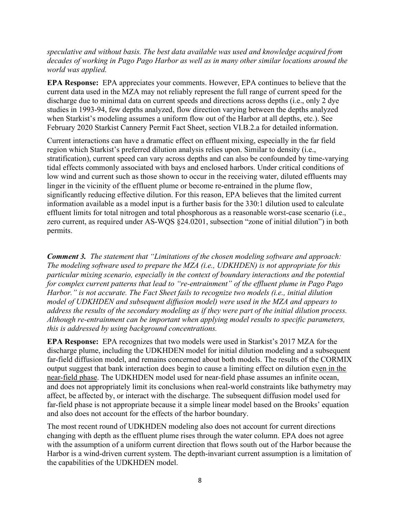#### speculative and without basis. The best data available was used and knowledge acquired from decades of working in Pago Pago Harbor as well as in many other similar locations around the world was applied.

EPA Response: EPA appreciates your comments. However, EPA continues to believe that the current data used in the MZA may not reliably represent the full range of current speed for the discharge due to minimal data on current speeds and directions across depths (i.e., only 2 dye studies in 1993-94, few depths analyzed, flow direction varying between the depths analyzed when Starkist's modeling assumes a uniform flow out of the Harbor at all depths, etc.). See February 2020 Starkist Cannery Permit Fact Sheet, section VI.B.2.a for detailed information.

Current interactions can have a dramatic effect on effluent mixing, especially in the far field region which Starkist's preferred dilution analysis relies upon. Similar to density (i.e., stratification), current speed can vary across depths and can also be confounded by time-varying tidal effects commonly associated with bays and enclosed harbors. Under critical conditions of low wind and current such as those shown to occur in the receiving water, diluted effluents may linger in the vicinity of the effluent plume or become re-entrained in the plume flow, significantly reducing effective dilution. For this reason, EPA believes that the limited current information available as a model input is a further basis for the 330:1 dilution used to calculate effluent limits for total nitrogen and total phosphorous as a reasonable worst-case scenario (i.e., zero current, as required under AS-WQS §24.0201, subsection "zone of initial dilution") in both permits.

Comment 3. The statement that "Limitations of the chosen modeling software and approach: The modeling software used to prepare the MZA (i.e., UDKHDEN) is not appropriate for this particular mixing scenario, especially in the context of boundary interactions and the potential for complex current patterns that lead to "re-entrainment" of the effluent plume in Pago Pago Harbor." is not accurate. The Fact Sheet fails to recognize two models (i.e., initial dilution model of UDKHDEN and subsequent diffusion model) were used in the MZA and appears to address the results of the secondary modeling as if they were part of the initial dilution process. Although re-entrainment can be important when applying model results to specific parameters, this is addressed by using background concentrations.

EPA Response: EPA recognizes that two models were used in Starkist's 2017 MZA for the discharge plume, including the UDKHDEN model for initial dilution modeling and a subsequent far-field diffusion model, and remains concerned about both models. The results of the CORMIX output suggest that bank interaction does begin to cause a limiting effect on dilution even in the near-field phase. The UDKHDEN model used for near-field phase assumes an infinite ocean, and does not appropriately limit its conclusions when real-world constraints like bathymetry may affect, be affected by, or interact with the discharge. The subsequent diffusion model used for far-field phase is not appropriate because it a simple linear model based on the Brooks' equation and also does not account for the effects of the harbor boundary.

The most recent round of UDKHDEN modeling also does not account for current directions changing with depth as the effluent plume rises through the water column. EPA does not agree with the assumption of a uniform current direction that flows south out of the Harbor because the Harbor is a wind-driven current system. The depth-invariant current assumption is a limitation of the capabilities of the UDKHDEN model.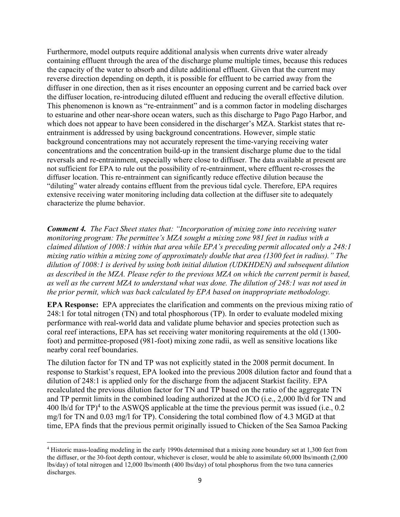Furthermore, model outputs require additional analysis when currents drive water already containing effluent through the area of the discharge plume multiple times, because this reduces the capacity of the water to absorb and dilute additional effluent. Given that the current may reverse direction depending on depth, it is possible for effluent to be carried away from the diffuser in one direction, then as it rises encounter an opposing current and be carried back over the diffuser location, re-introducing diluted effluent and reducing the overall effective dilution. This phenomenon is known as "re-entrainment" and is a common factor in modeling discharges to estuarine and other near-shore ocean waters, such as this discharge to Pago Pago Harbor, and which does not appear to have been considered in the discharger's MZA. Starkist states that reentrainment is addressed by using background concentrations. However, simple static background concentrations may not accurately represent the time-varying receiving water concentrations and the concentration build-up in the transient discharge plume due to the tidal reversals and re-entrainment, especially where close to diffuser. The data available at present are not sufficient for EPA to rule out the possibility of re-entrainment, where effluent re-crosses the diffuser location. This re-entrainment can significantly reduce effective dilution because the "diluting" water already contains effluent from the previous tidal cycle. Therefore, EPA requires extensive receiving water monitoring including data collection at the diffuser site to adequately characterize the plume behavior.

Comment 4. The Fact Sheet states that: "Incorporation of mixing zone into receiving water monitoring program: The permittee's MZA sought a mixing zone 981 feet in radius with a claimed dilution of 1008:1 within that area while EPA's preceding permit allocated only a 248:1 mixing ratio within a mixing zone of approximately double that area (1300 feet in radius)." The dilution of 1008:1 is derived by using both initial dilution (UDKHDEN) and subsequent dilution as described in the MZA. Please refer to the previous MZA on which the current permit is based, as well as the current MZA to understand what was done. The dilution of 248:1 was not used in the prior permit, which was back calculated by EPA based on inappropriate methodology.

EPA Response: EPA appreciates the clarification and comments on the previous mixing ratio of 248:1 for total nitrogen (TN) and total phosphorous (TP). In order to evaluate modeled mixing performance with real-world data and validate plume behavior and species protection such as coral reef interactions, EPA has set receiving water monitoring requirements at the old (1300 foot) and permittee-proposed (981-foot) mixing zone radii, as well as sensitive locations like nearby coral reef boundaries.

The dilution factor for TN and TP was not explicitly stated in the 2008 permit document. In response to Starkist's request, EPA looked into the previous 2008 dilution factor and found that a dilution of 248:1 is applied only for the discharge from the adjacent Starkist facility. EPA recalculated the previous dilution factor for TN and TP based on the ratio of the aggregate TN and TP permit limits in the combined loading authorized at the JCO (i.e., 2,000 lb/d for TN and 400 lb/d for TP $)^4$  to the ASWQS applicable at the time the previous permit was issued (i.e., 0.2 mg/l for TN and 0.03 mg/l for TP). Considering the total combined flow of 4.3 MGD at that time, EPA finds that the previous permit originally issued to Chicken of the Sea Samoa Packing

<sup>&</sup>lt;sup>4</sup> Historic mass-loading modeling in the early 1990s determined that a mixing zone boundary set at 1,300 feet from the diffuser, or the 30-foot depth contour, whichever is closer, would be able to assimilate 60,000 lbs/month (2,000 lbs/day) of total nitrogen and 12,000 lbs/month (400 lbs/day) of total phosphorus from the two tuna canneries discharges.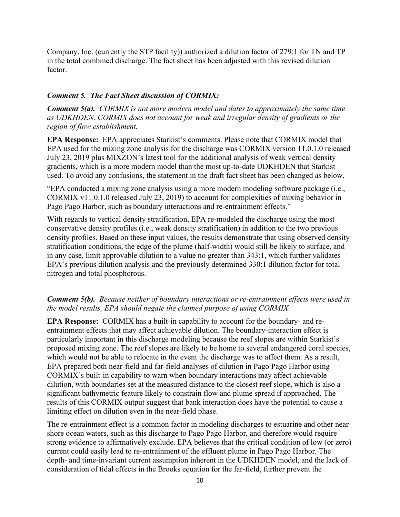Company, Inc. (currently the STP facility)) authorized a dilution factor of 279:1 for TN and TP in the total combined discharge. The fact sheet has been adjusted with this revised dilution factor.

#### Comment 5. The Fact Sheet discussion of CORMIX:

Comment 5(a). CORMIX is not more modern model and dates to approximately the same time as UDKHDEN. CORMIX does not account for weak and irregular density of gradients or the region of flow establishment.

EPA Response: EPA appreciates Starkist's comments. Please note that CORMIX model that EPA used for the mixing zone analysis for the discharge was CORMIX version 11.0.1.0 released July 23, 2019 plus MIXZON's latest tool for the additional analysis of weak vertical density gradients, which is a more modern model than the most up-to-date UDKHDEN that Starkist used. To avoid any confusions, the statement in the draft fact sheet has been changed as below.

"EPA conducted a mixing zone analysis using a more modern modeling software package (i.e., CORMIX v11.0.1.0 released July 23, 2019) to account for complexities of mixing behavior in Pago Pago Harbor, such as boundary interactions and re-entrainment effects."

With regards to vertical density stratification, EPA re-modeled the discharge using the most conservative density profiles (i.e., weak density stratification) in addition to the two previous density profiles. Based on these input values, the results demonstrate that using observed density stratification conditions, the edge of the plume (half-width) would still be likely to surface, and in any case, limit approvable dilution to a value no greater than 343:1, which further validates EPA's previous dilution analysis and the previously determined 330:1 dilution factor for total nitrogen and total phosphorous.

### Comment 5(b). Because neither of boundary interactions or re-entrainment effects were used in the model results, EPA should negate the claimed purpose of using CORMIX

EPA Response: CORMIX has a built-in capability to account for the boundary- and reentrainment effects that may affect achievable dilution. The boundary-interaction effect is particularly important in this discharge modeling because the reef slopes are within Starkist's proposed mixing zone. The reef slopes are likely to be home to several endangered coral species, which would not be able to relocate in the event the discharge was to affect them. As a result, EPA prepared both near-field and far-field analyses of dilution in Pago Pago Harbor using CORMIX's built-in capability to warn when boundary interactions may affect achievable dilution, with boundaries set at the measured distance to the closest reef slope, which is also a significant bathymetric feature likely to constrain flow and plume spread if approached. The results of this CORMIX output suggest that bank interaction does have the potential to cause a limiting effect on dilution even in the near-field phase.

The re-entrainment effect is a common factor in modeling discharges to estuarine and other nearshore ocean waters, such as this discharge to Pago Pago Harbor, and therefore would require strong evidence to affirmatively exclude. EPA believes that the critical condition of low (or zero) current could easily lead to re-entrainment of the effluent plume in Pago Pago Harbor. The depth- and time-invariant current assumption inherent in the UDKHDEN model, and the lack of consideration of tidal effects in the Brooks equation for the far-field, further prevent the